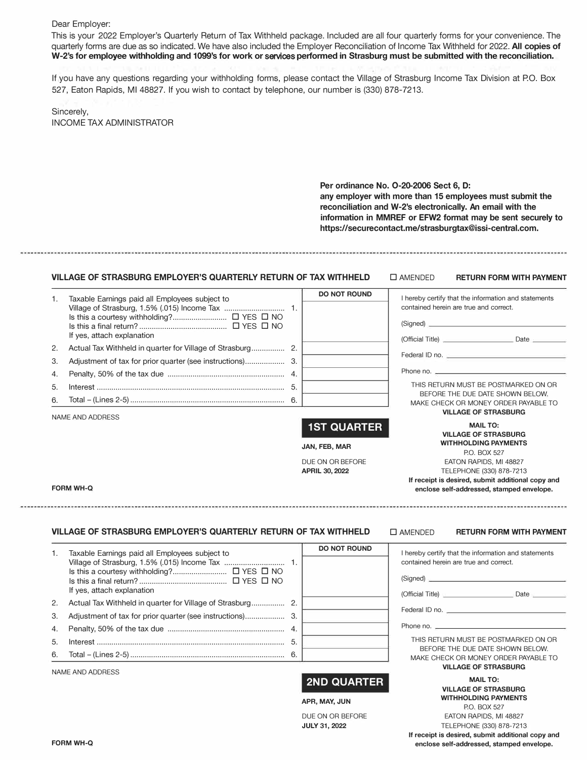## Dear Employer:

This is your 2022 Employer's Quarterly Return of Tax Withheld package. Included are all four quarterly forms for your convenience. The quarterly forms are due as so indicated. We have also included the Employer Reconciliation of Income Tax Withheld for 2022. **All copies of W-2's for employee withholding and 1099's for work or** services **performed in Strasburg must be submitted with the reconciliation.**

If you have any questions regarding your withholding forms, please contact the Village of Strasburg Income Tax Division at PO. Box 527, Eaton Rapids, Ml 48827. If you wish to contact by telephone, our number is (330) 878-7213.

| Sincerely,                      |  |
|---------------------------------|--|
| <b>INCOME TAX ADMINISTRATOR</b> |  |

**Per ordinance No. 0-20-2006 Sect 6, D: any employer with more than 15 employees must submit the reconciliation and W-2's electronically. An email with the information in MMREF or EFW2 format may be sent securely to https://securecontact.me/strasburgtax@issi-central.com.** 

### **VILLAGE OF STRASBURG EMPLOYER'S QUARTERLY RETURN OF TAX WITHHELD** □ AMENDED **RETURN FORM WITH PAYMENT**

| 1. | Taxable Earnings paid all Employees subject to |     | <b>DO NOT ROUND</b> | I hereby certify that the information and statements                     |
|----|------------------------------------------------|-----|---------------------|--------------------------------------------------------------------------|
|    |                                                |     |                     | contained herein are true and correct.                                   |
|    | If yes, attach explanation                     |     |                     | (Signed)<br>(Official Title) <b>Date</b>                                 |
| 2. |                                                |     |                     |                                                                          |
| 3. |                                                |     |                     | Federal ID no.                                                           |
| 4. |                                                |     |                     |                                                                          |
| 5. |                                                | -5. |                     | THIS RETURN MUST BE POSTMARKED ON OR                                     |
| 6. |                                                |     |                     | BEFORE THE DUE DATE SHOWN BELOW.<br>MAKE CHECK OR MONEY ORDER PAYABLE TO |
|    | NAME AND ADDRESS                               |     |                     | <b>VILLAGE OF STRASBURG</b>                                              |
|    |                                                |     | <b>1ST QUARTER</b>  | <b>MAIL TO:</b><br><b>VILLAGE OF STRASBURG</b>                           |
|    |                                                |     | JAN, FEB, MAR       | <b>WITHHOLDING PAYMENTS</b><br><b>PO BOX 527</b>                         |

DUE ON OR BEFORE **APRIL 30, 2022**

#### **FORM WH-Q**

### **VILLAGE OF STRASBURG EMPLOYER'S QUARTERLY RETURN OF TAX WITHHELD**

### □ AMENDED **RETURN FORM WITH PAYMENT**

EATON RAPIDS, Ml 48827 TELEPHONE (330) 878-7213 **If receipt is desired, submit additional copy and enclose self-addressed, stamped envelope.** 

| 1. | Taxable Earnings paid all Employees subject to<br>If yes, attach explanation | <b>DO NOT ROUND</b> | I hereby certify that the information and statements<br>contained herein are true and correct.<br>(Signed) |
|----|------------------------------------------------------------------------------|---------------------|------------------------------------------------------------------------------------------------------------|
| 2. |                                                                              |                     |                                                                                                            |
| 3. |                                                                              |                     | Federal ID no.                                                                                             |
|    |                                                                              |                     | Phone no.                                                                                                  |
| 5. |                                                                              |                     | THIS RETURN MUST BE POSTMARKED ON OR                                                                       |
|    |                                                                              |                     | BEFORE THE DUE DATE SHOWN BELOW.<br>MAKE CHECK OR MONEY ORDER PAYABLE TO                                   |
|    |                                                                              |                     | <b>VILLAGE OF STRASBURG</b>                                                                                |

NAME AND ADDRESS

# **2ND QUARTER**

#### **APR, MAY, JUN**

DUE ON OR BEFORE **JULY 31, 2022**

**MAIL TO: VILLAGE OF STRASBURG WITHHOLDING PAYMENTS**  P.O. BOX 527 EATON RAPIDS, Ml 48827 TELEPHONE (330) 878-7213 **If receipt is desired, submit additional copy and enclose self-addressed, stamped envelope.**